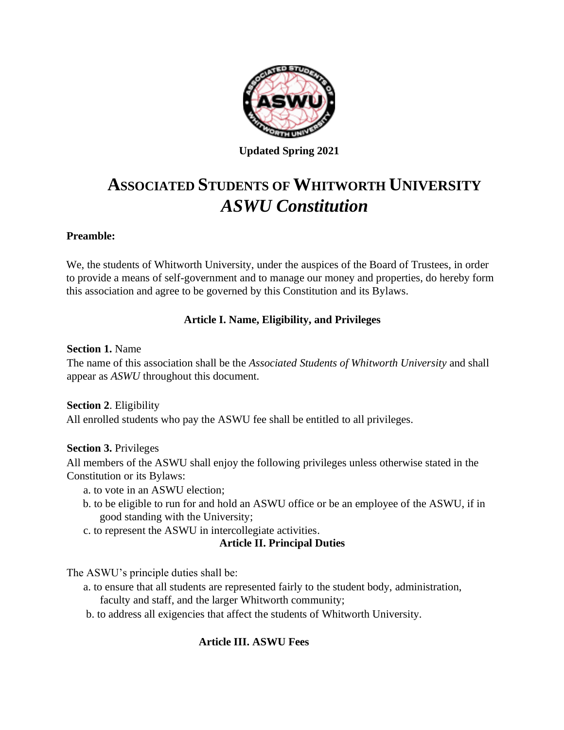

**Updated Spring 2021**

# **ASSOCIATED STUDENTS OF WHITWORTH UNIVERSITY**  *ASWU Constitution*

# **Preamble:**

We, the students of Whitworth University, under the auspices of the Board of Trustees, in order to provide a means of self-government and to manage our money and properties, do hereby form this association and agree to be governed by this Constitution and its Bylaws.

# **Article I. Name, Eligibility, and Privileges**

## **Section 1.** Name

The name of this association shall be the *Associated Students of Whitworth University* and shall appear as *ASWU* throughout this document.

#### **Section 2**. Eligibility

All enrolled students who pay the ASWU fee shall be entitled to all privileges.

# **Section 3.** Privileges

All members of the ASWU shall enjoy the following privileges unless otherwise stated in the Constitution or its Bylaws:

- a. to vote in an ASWU election;
- b. to be eligible to run for and hold an ASWU office or be an employee of the ASWU, if in good standing with the University;
- c. to represent the ASWU in intercollegiate activities.

#### **Article II. Principal Duties**

The ASWU's principle duties shall be:

- a. to ensure that all students are represented fairly to the student body, administration, faculty and staff, and the larger Whitworth community;
- b. to address all exigencies that affect the students of Whitworth University.

# **Article III. ASWU Fees**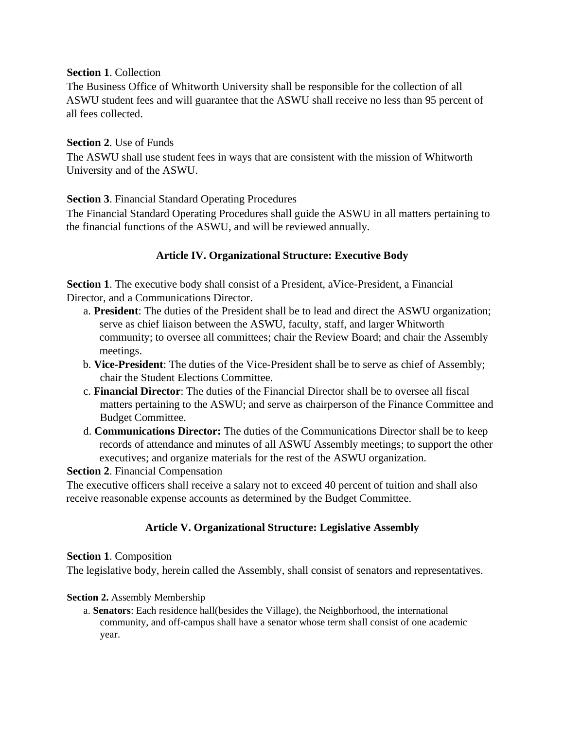#### **Section 1**. Collection

The Business Office of Whitworth University shall be responsible for the collection of all ASWU student fees and will guarantee that the ASWU shall receive no less than 95 percent of all fees collected.

#### **Section 2**. Use of Funds

The ASWU shall use student fees in ways that are consistent with the mission of Whitworth University and of the ASWU.

#### **Section 3**. Financial Standard Operating Procedures

The Financial Standard Operating Procedures shall guide the ASWU in all matters pertaining to the financial functions of the ASWU, and will be reviewed annually.

#### **Article IV. Organizational Structure: Executive Body**

**Section 1**. The executive body shall consist of a President, a Vice-President, a Financial Director, and a Communications Director.

- a. **President**: The duties of the President shall be to lead and direct the ASWU organization; serve as chief liaison between the ASWU, faculty, staff, and larger Whitworth community; to oversee all committees; chair the Review Board; and chair the Assembly meetings.
- b. **Vice-President**: The duties of the Vice-President shall be to serve as chief of Assembly; chair the Student Elections Committee.
- c. **Financial Director**: The duties of the Financial Director shall be to oversee all fiscal matters pertaining to the ASWU; and serve as chairperson of the Finance Committee and Budget Committee.
- d. **Communications Director:** The duties of the Communications Director shall be to keep records of attendance and minutes of all ASWU Assembly meetings; to support the other executives; and organize materials for the rest of the ASWU organization.

**Section 2**. Financial Compensation

The executive officers shall receive a salary not to exceed 40 percent of tuition and shall also receive reasonable expense accounts as determined by the Budget Committee.

# **Article V. Organizational Structure: Legislative Assembly**

#### **Section 1**. Composition

The legislative body, herein called the Assembly, shall consist of senators and representatives.

#### **Section 2.** Assembly Membership

a. **Senators**: Each residence hall(besides the Village), the Neighborhood, the international community, and off-campus shall have a senator whose term shall consist of one academic year.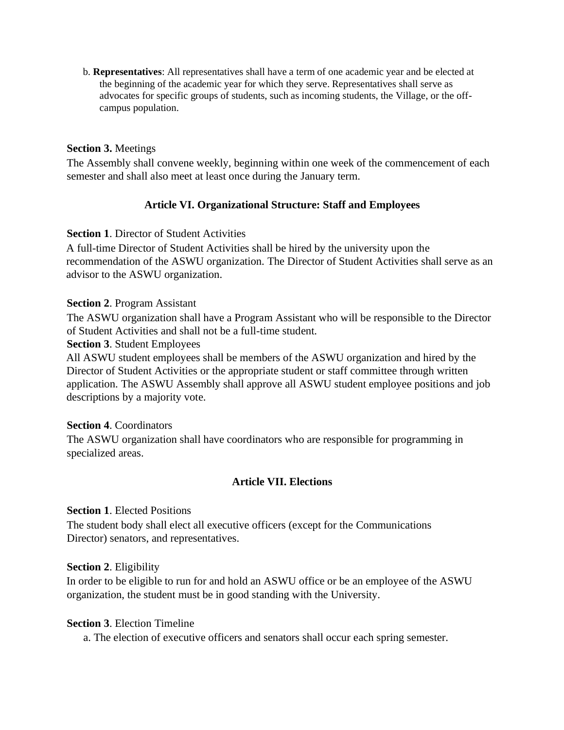b. **Representatives**: All representatives shall have a term of one academic year and be elected at the beginning of the academic year for which they serve. Representatives shall serve as advocates for specific groups of students, such as incoming students, the Village, or the offcampus population.

## **Section 3.** Meetings

The Assembly shall convene weekly, beginning within one week of the commencement of each semester and shall also meet at least once during the January term.

# **Article VI. Organizational Structure: Staff and Employees**

#### **Section 1. Director of Student Activities**

A full-time Director of Student Activities shall be hired by the university upon the recommendation of the ASWU organization. The Director of Student Activities shall serve as an advisor to the ASWU organization.

#### **Section 2**. Program Assistant

The ASWU organization shall have a Program Assistant who will be responsible to the Director of Student Activities and shall not be a full-time student.

**Section 3**. Student Employees

All ASWU student employees shall be members of the ASWU organization and hired by the Director of Student Activities or the appropriate student or staff committee through written application. The ASWU Assembly shall approve all ASWU student employee positions and job descriptions by a majority vote.

#### **Section 4**. Coordinators

The ASWU organization shall have coordinators who are responsible for programming in specialized areas.

#### **Article VII. Elections**

#### **Section 1**. Elected Positions

The student body shall elect all executive officers (except for the Communications Director) senators, and representatives.

#### **Section 2**. Eligibility

In order to be eligible to run for and hold an ASWU office or be an employee of the ASWU organization, the student must be in good standing with the University.

#### **Section 3**. Election Timeline

a. The election of executive officers and senators shall occur each spring semester.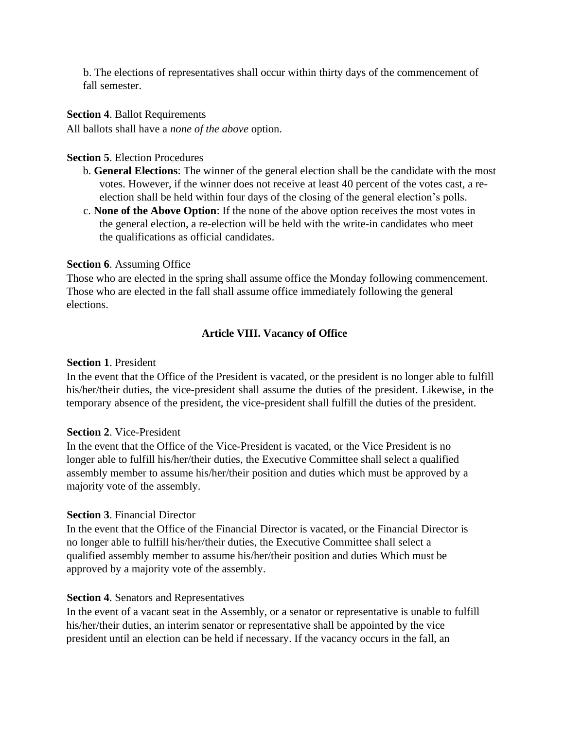b. The elections of representatives shall occur within thirty days of the commencement of fall semester.

#### **Section 4**. Ballot Requirements

All ballots shall have a *none of the above* option.

#### **Section 5**. Election Procedures

- b. **General Elections**: The winner of the general election shall be the candidate with the most votes. However, if the winner does not receive at least 40 percent of the votes cast, a reelection shall be held within four days of the closing of the general election's polls.
- c. **None of the Above Option**: If the none of the above option receives the most votes in the general election, a re-election will be held with the write-in candidates who meet the qualifications as official candidates.

#### **Section 6**. Assuming Office

Those who are elected in the spring shall assume office the Monday following commencement. Those who are elected in the fall shall assume office immediately following the general elections.

#### **Article VIII. Vacancy of Office**

#### **Section 1**. President

In the event that the Office of the President is vacated, or the president is no longer able to fulfill his/her/their duties, the vice-president shall assume the duties of the president. Likewise, in the temporary absence of the president, the vice-president shall fulfill the duties of the president.

#### **Section 2**. Vice-President

In the event that the Office of the Vice-President is vacated, or the Vice President is no longer able to fulfill his/her/their duties, the Executive Committee shall select a qualified assembly member to assume his/her/their position and duties which must be approved by a majority vote of the assembly.

#### **Section 3**. Financial Director

In the event that the Office of the Financial Director is vacated, or the Financial Director is no longer able to fulfill his/her/their duties, the Executive Committee shall select a qualified assembly member to assume his/her/their position and duties Which must be approved by a majority vote of the assembly.

#### **Section 4**. Senators and Representatives

In the event of a vacant seat in the Assembly, or a senator or representative is unable to fulfill his/her/their duties, an interim senator or representative shall be appointed by the vice president until an election can be held if necessary. If the vacancy occurs in the fall, an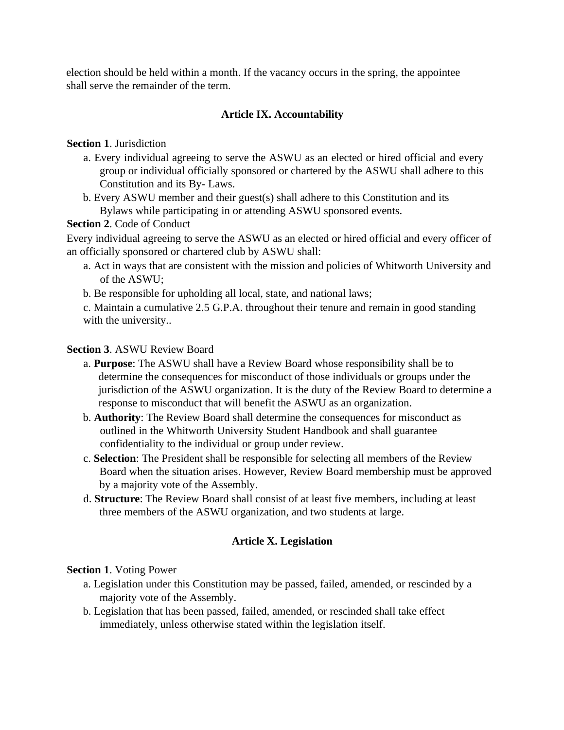election should be held within a month. If the vacancy occurs in the spring, the appointee shall serve the remainder of the term.

# **Article IX. Accountability**

## **Section 1**. Jurisdiction

- a. Every individual agreeing to serve the ASWU as an elected or hired official and every group or individual officially sponsored or chartered by the ASWU shall adhere to this Constitution and its By- Laws.
- b. Every ASWU member and their guest(s) shall adhere to this Constitution and its Bylaws while participating in or attending ASWU sponsored events.

## **Section 2**. Code of Conduct

Every individual agreeing to serve the ASWU as an elected or hired official and every officer of an officially sponsored or chartered club by ASWU shall:

a. Act in ways that are consistent with the mission and policies of Whitworth University and of the ASWU;

b. Be responsible for upholding all local, state, and national laws;

c. Maintain a cumulative 2.5 G.P.A. throughout their tenure and remain in good standing with the university..

## **Section 3**. ASWU Review Board

- a. **Purpose**: The ASWU shall have a Review Board whose responsibility shall be to determine the consequences for misconduct of those individuals or groups under the jurisdiction of the ASWU organization. It is the duty of the Review Board to determine a response to misconduct that will benefit the ASWU as an organization.
- b. **Authority**: The Review Board shall determine the consequences for misconduct as outlined in the Whitworth University Student Handbook and shall guarantee confidentiality to the individual or group under review.
- c. **Selection**: The President shall be responsible for selecting all members of the Review Board when the situation arises. However, Review Board membership must be approved by a majority vote of the Assembly.
- d. **Structure**: The Review Board shall consist of at least five members, including at least three members of the ASWU organization, and two students at large.

# **Article X. Legislation**

# **Section 1**. Voting Power

- a. Legislation under this Constitution may be passed, failed, amended, or rescinded by a majority vote of the Assembly.
- b. Legislation that has been passed, failed, amended, or rescinded shall take effect immediately, unless otherwise stated within the legislation itself.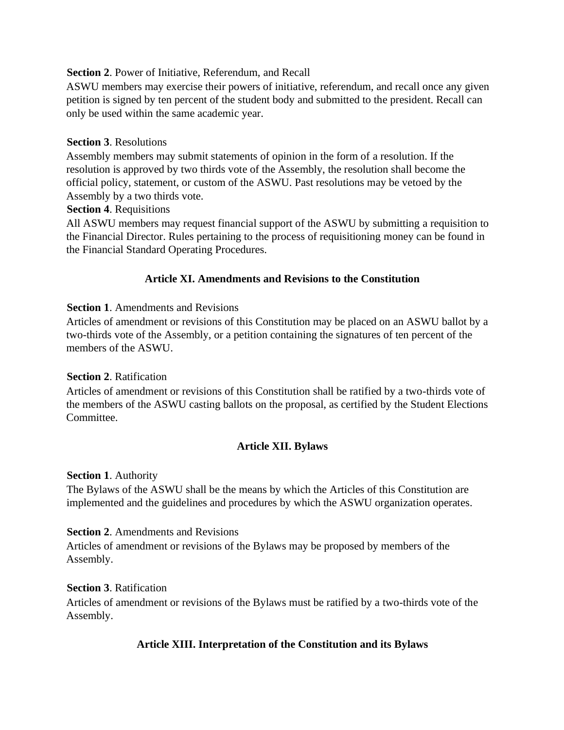## **Section 2**. Power of Initiative, Referendum, and Recall

ASWU members may exercise their powers of initiative, referendum, and recall once any given petition is signed by ten percent of the student body and submitted to the president. Recall can only be used within the same academic year.

## **Section 3**. Resolutions

Assembly members may submit statements of opinion in the form of a resolution. If the resolution is approved by two thirds vote of the Assembly, the resolution shall become the official policy, statement, or custom of the ASWU. Past resolutions may be vetoed by the Assembly by a two thirds vote.

## **Section 4**. Requisitions

All ASWU members may request financial support of the ASWU by submitting a requisition to the Financial Director. Rules pertaining to the process of requisitioning money can be found in the Financial Standard Operating Procedures.

# **Article XI. Amendments and Revisions to the Constitution**

## **Section 1**. Amendments and Revisions

Articles of amendment or revisions of this Constitution may be placed on an ASWU ballot by a two-thirds vote of the Assembly, or a petition containing the signatures of ten percent of the members of the ASWU.

## **Section 2**. Ratification

Articles of amendment or revisions of this Constitution shall be ratified by a two-thirds vote of the members of the ASWU casting ballots on the proposal, as certified by the Student Elections Committee.

# **Article XII. Bylaws**

#### **Section 1**. Authority

The Bylaws of the ASWU shall be the means by which the Articles of this Constitution are implemented and the guidelines and procedures by which the ASWU organization operates.

#### **Section 2**. Amendments and Revisions

Articles of amendment or revisions of the Bylaws may be proposed by members of the Assembly.

#### **Section 3**. Ratification

Articles of amendment or revisions of the Bylaws must be ratified by a two-thirds vote of the Assembly.

# **Article XIII. Interpretation of the Constitution and its Bylaws**